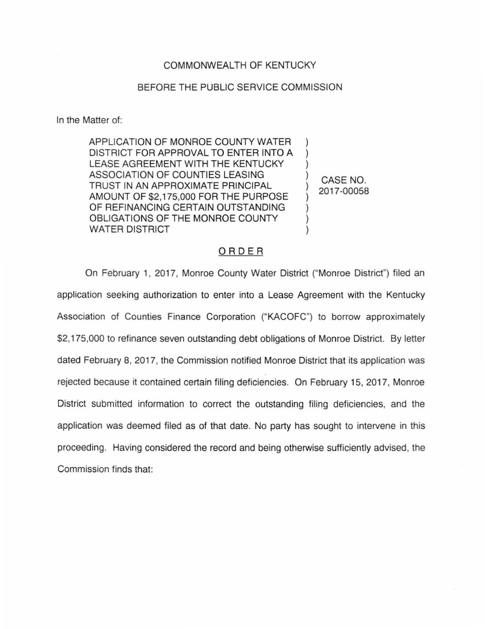## COMMONWEALTH OF KENTUCKY

## BEFORE THE PUBLIC SERVICE COMMISSION

In the Matter of:

APPLICATION OF MONROE COUNTY WATER DISTRICT FOR APPROVAL TO ENTER INTO A LEASE AGREEMENT WITH THE KENTUCKY ASSOCIATION OF COUNTIES LEASING TRUST IN AN APPROXIMATE PRINCIPAL AMOUNT OF \$2,175,000 FOR THE PURPOSE OF REFINANCING CERTAIN OUTSTANDING OBLIGATIONS OF THE MONROE COUNTY WATER DISTRICT ) ) ) ) ) )

) CASE NO. 2017-00058

## ORDER

On February 1, 2017, Monroe County Water District ("Monroe District") filed an application seeking authorization to enter into a Lease Agreement with the Kentucky Association of Counties Finance Corporation ("KACOFC") to borrow approximately \$2,175,000 to refinance seven outstanding debt obligations of Monroe District. By letter dated February 8, 2017, the Commission notified Monroe District that its application was rejected because it contained certain filing deficiencies. On February 15, 2017, Monroe District submitted information to correct the outstanding filing deficiencies, and the application was deemed filed as of that date. No party has sought to intervene in this proceeding. Having considered the record and being otherwise sufficiently advised, the Commission finds that: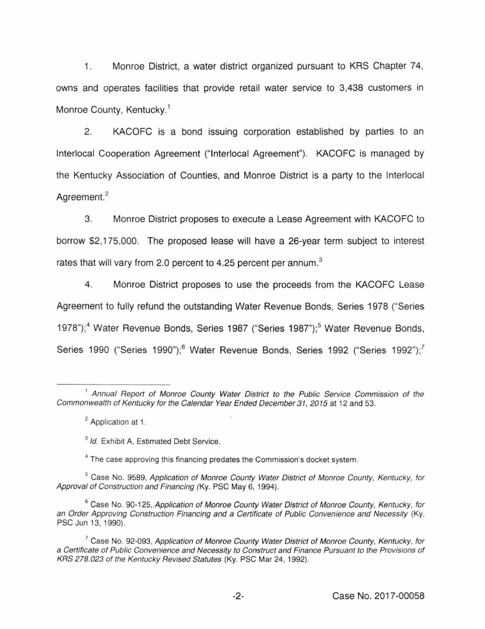1. Monroe District, a water district organized pursuant to KRS Chapter 74, owns and operates facilities that provide retail water service to 3,438 customers in Monroe County, Kentucky.<sup>1</sup>

2. KACOFC is a bond issuing corporation established by parties to an lnterlocal Cooperation Agreement ("lnterlocal Agreement"). KACOFC is managed by the Kentucky Association of Counties, and Monroe District is a party to the lnterlocal Agreement.<sup>2</sup>

3. Monroe District proposes to execute a Lease Agreement with KACOFC to borrow \$2,175,000. The proposed lease will have a 26-year term subject to interest rates that will vary from 2.0 percent to 4.25 percent per annum.<sup>3</sup>

4. Monroe District proposes to use the proceeds from the KACOFC Lease Agreement to fully refund the outstanding Water Revenue Bonds, Series 1978 ("Series 1978");<sup>4</sup> Water Revenue Bonds, Series 1987 ("Series 1987");<sup>5</sup> Water Revenue Bonds, Series 1990 ("Series 1990");<sup>6</sup> Water Revenue Bonds, Series 1992 ("Series 1992");<sup>7</sup>

<sup>&</sup>lt;sup>1</sup> Annual Report of Monroe County Water District to the Public Service Commission of the Commonwealth of Kentucky for the Calendar Year Ended December 31, 2015 at 12 and 53.

<sup>2</sup> Application at 1.

<sup>&</sup>lt;sup>3</sup> Id. Exhibit A, Estimated Debt Service.

<sup>&</sup>lt;sup>4</sup> The case approving this financing predates the Commission's docket system.

<sup>&</sup>lt;sup>5</sup> Case No. 9589, Application of Monroe County Water District of Monroe County, Kentucky, for Approval of Construction and Financing (Ky. PSC May 6, 1994).

<sup>&</sup>lt;sup>6</sup> Case No. 90-125, Application of Monroe County Water District of Monroe County, Kentucky, for an Order Approving Construction Financing and a Certificate of Public Convenience and Necessity (Ky. PSC Jun 13, 1990).

 $7$  Case No. 92-093, Application of Monroe County Water District of Monroe County, Kentucky, for a Certificate of Public Convenience and Necessity to Construct and Finance Pursuant to the Provisions of KRS 278.023 of the Kentucky Revised Statutes (Ky. PSC Mar 24, 1992).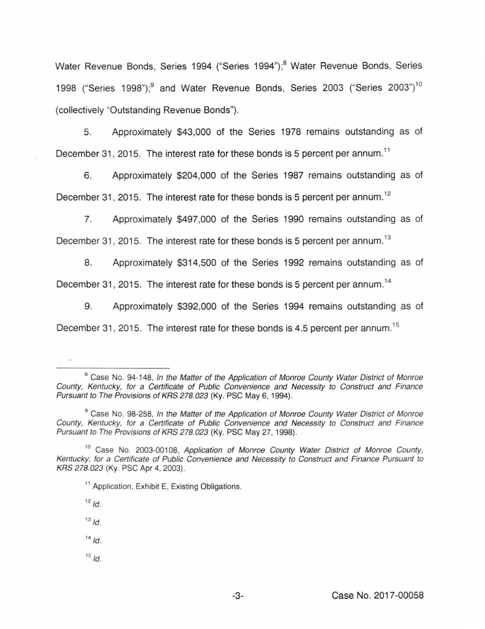Water Revenue Bonds, Series 1994 ("Series 1994");<sup>8</sup> Water Revenue Bonds, Series 1998 ("Series 1998");<sup>9</sup> and Water Revenue Bonds, Series 2003 ("Series 2003")<sup>10</sup> (collectively "Outstanding Revenue Bonds").

5. Approximately \$43,000 of the Series 1978 remains outstanding as of December 31, 2015. The interest rate for these bonds is 5 percent per annum.<sup>11</sup>

6. Approximately \$204,000 of the Series 1987 remains outstanding as of December 31, 2015. The interest rate for these bonds is 5 percent per annum.<sup>12</sup>

7. Approximately \$497,000 of the Series 1990 remains outstanding as of December 31, 2015. The interest rate for these bonds is 5 percent per annum.<sup>13</sup>

8. Approximately \$314,500 of the Series 1992 remains outstanding as of

December 31, 2015. The interest rate for these bonds is 5 percent per annum.<sup>14</sup>

9. Approximately \$392,000 of the Series 1994 remains outstanding as of December 31, 2015. The interest rate for these bonds is 4.5 percent per annum.<sup>15</sup>

- $13$   $\overline{1d}$ .
- $14/d$ .
- $15/d$ .

<sup>&</sup>lt;sup>8</sup> Case No. 94-148, In the Matter of the Application of Monroe County Water District of Monroe County, Kentucky, for a Certificate of Public Convenience and Necessity to Construct and Finance Pursuant to The Provisions of KRS 278.023 (Ky. PSC May 6, 1994}.

<sup>&</sup>lt;sup>9</sup> Case No. 98-258, In the Matter of the Application of Monroe County Water District of Monroe County, Kentucky, for a Certificate of Public Convenience and Necessity to Construct and Finance Pursuant to The Provisions of KRS 278.023 (Ky. PSC May 27, 1998).

<sup>&</sup>lt;sup>10</sup> Case No. 2003-00108, Application of Monroe County Water District of Monroe County, Kentucky, for a Certificate of Public Convenience and Necessity to Construct and Finance Pursuant to KRS 278.023 (Ky. PSC Apr 4, 2003).

<sup>&</sup>lt;sup>11</sup> Application, Exhibit E, Existing Obligations.

 $12/d$ .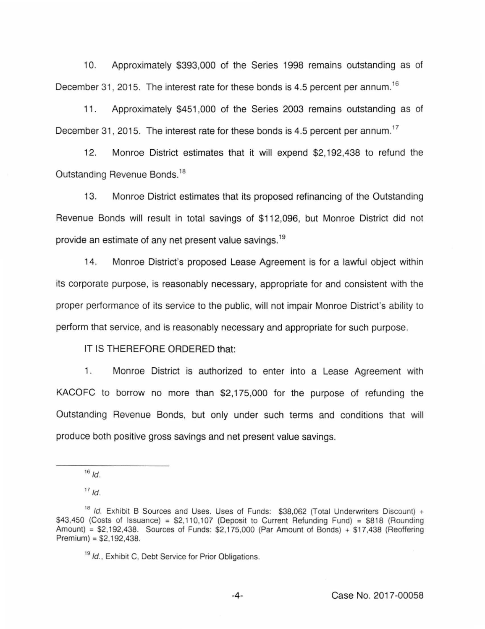10. Approximately \$393,000 of the Series 1998 remains outstanding as of December 31, 2015. The interest rate for these bonds is 4.5 percent per annum.<sup>16</sup>

11. Approximately \$451 ,000 of the Series 2003 remains outstanding as of December 31, 2015. The interest rate for these bonds is 4.5 percent per annum.<sup>17</sup>

12. Monroe District estimates that it will expend \$2,192,438 to refund the Outstanding Revenue Bonds. 18

13. Monroe District estimates that its proposed refinancing of the Outstanding Revenue Bonds will result in total savings of \$112,096, but Monroe District did not provide an estimate of any net present value savings.<sup>19</sup>

14. Monroe District's proposed Lease Agreement is for a lawful object within its corporate purpose, is reasonably necessary, appropriate for and consistent with the proper performance of its service to the public, will not impair Monroe District's ability to perform that service, and is reasonably necessary and appropriate for such purpose.

IT IS THEREFORE ORDERED that:

1. Monroe District is authorized to enter into a Lease Agreement with KACOFC to borrow no more than \$2,175,000 for the purpose of refunding the Outstanding Revenue Bonds, but only under such terms and conditions that will produce both positive gross savings and net present value savings.

 $17/d$ .

 $16/16$ .

<sup>&</sup>lt;sup>18</sup> Id. Exhibit B Sources and Uses. Uses of Funds: \$38,062 (Total Underwriters Discount) +  $$43,450$  (Costs of Issuance) =  $$2,110,107$  (Deposit to Current Refunding Fund) =  $$818$  (Rounding Amount) = \$2,192,438. Sources of Funds: \$2,175,000 (Par Amount of Bonds) + \$17,438 (Reoffering Premium) = \$2,192,438.

<sup>&</sup>lt;sup>19</sup> Id., Exhibit C, Debt Service for Prior Obligations.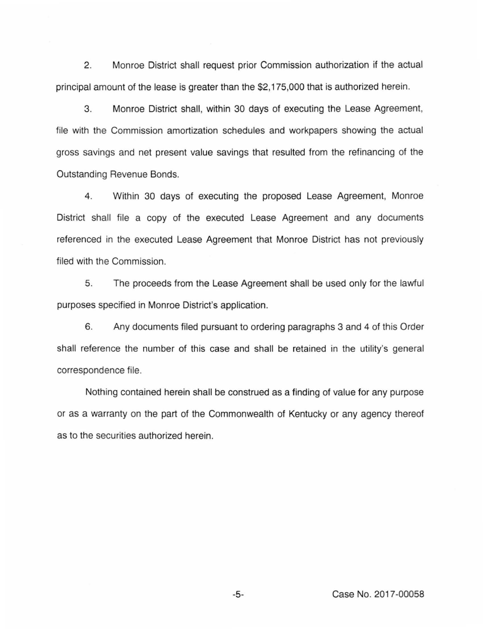2. Monroe District shall request prior Commission authorization if the actual principal amount of the lease is greater than the \$2,175,000 that is authorized herein.

3. Monroe District shall, within 30 days of executing the Lease Agreement, file with the Commission amortization schedules and workpapers showing the actual gross savings and net present value savings that resulted from the refinancing of the Outstanding Revenue Bonds.

4. Within 30 days of executing the proposed Lease Agreement, Monroe District shall file a copy of the executed Lease Agreement and any documents referenced in the executed Lease Agreement that Monroe District has not previously filed with the Commission.

5. The proceeds from the Lease Agreement shall be used only for the lawful purposes specified in Monroe District's application.

6. Any documents filed pursuant to ordering paragraphs 3 and 4 of this Order shall reference the number of this case and shall be retained in the utility's general correspondence file.

Nothing contained herein shall be construed as a finding of value for any purpose or as a warranty on the part of the Commonwealth of Kentucky or any agency thereof as to the securities authorized herein.

-5- Case No. 2017-00058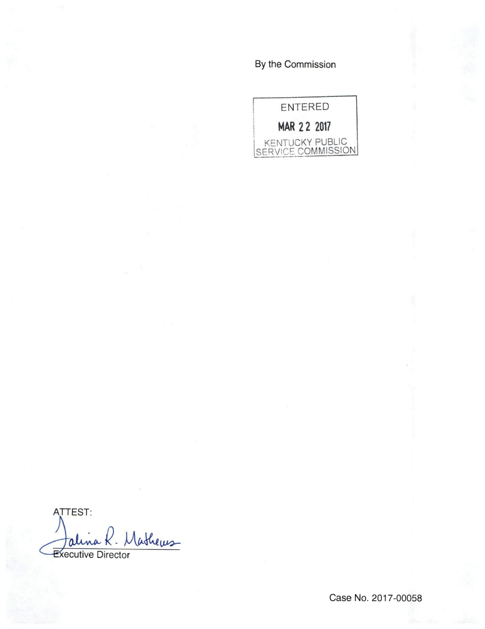By the Commission



ATTEST: ashews ali **Executive Director** 

Case No. 2017-00058